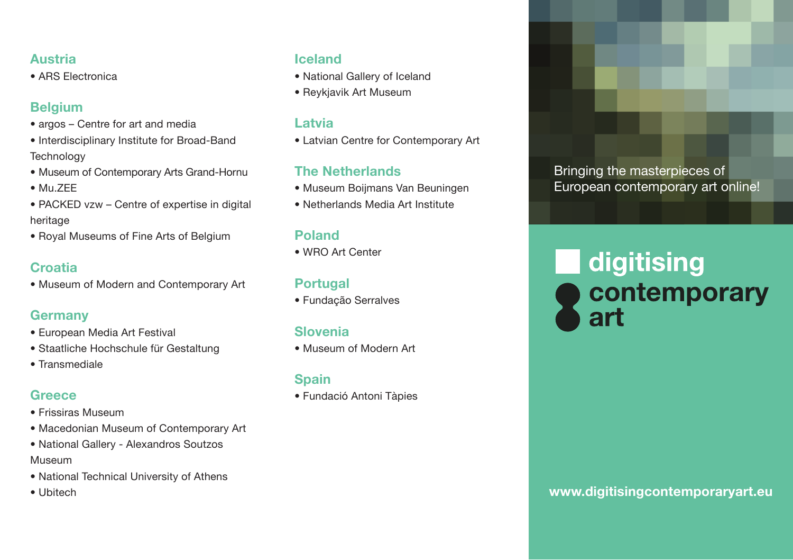#### **Austria**

• ARS Electronica

## **Belgium**

- argos Centre for art and media
- Interdisciplinary Institute for Broad-Band **Technology**
- Museum of Contemporary Arts Grand-Hornu
- Mu.ZEE
- PACKED vzw Centre of expertise in digital heritage
- Royal Museums of Fine Arts of Belgium

# **Croatia**

• Museum of Modern and Contemporary Art

# **Germany**

- European Media Art Festival
- Staatliche Hochschule für Gestaltung
- Transmediale

# **Greece**

- Frissiras Museum
- Macedonian Museum of Contemporary Art
- National Gallery Alexandros Soutzos Museum
- National Technical University of Athens
- Ubitech

### **Iceland**

- National Gallery of Iceland
- Reykjavik Art Museum

#### **Latvia**

• Latvian Centre for Contemporary Art

# **The Netherlands**

- Museum Boijmans Van Beuningen
- Netherlands Media Art Institute

# **Poland**

• WRO Art Center

# **Portugal**

• Fundação Serralves

# **Slovenia**

• Museum of Modern Art

# **Spain**

• Fundació Antoni Tàpies

Bringing the masterpieces of European contemporary art online!

# digitising contemporary art

# **www.digitisingcontemporaryart.eu**